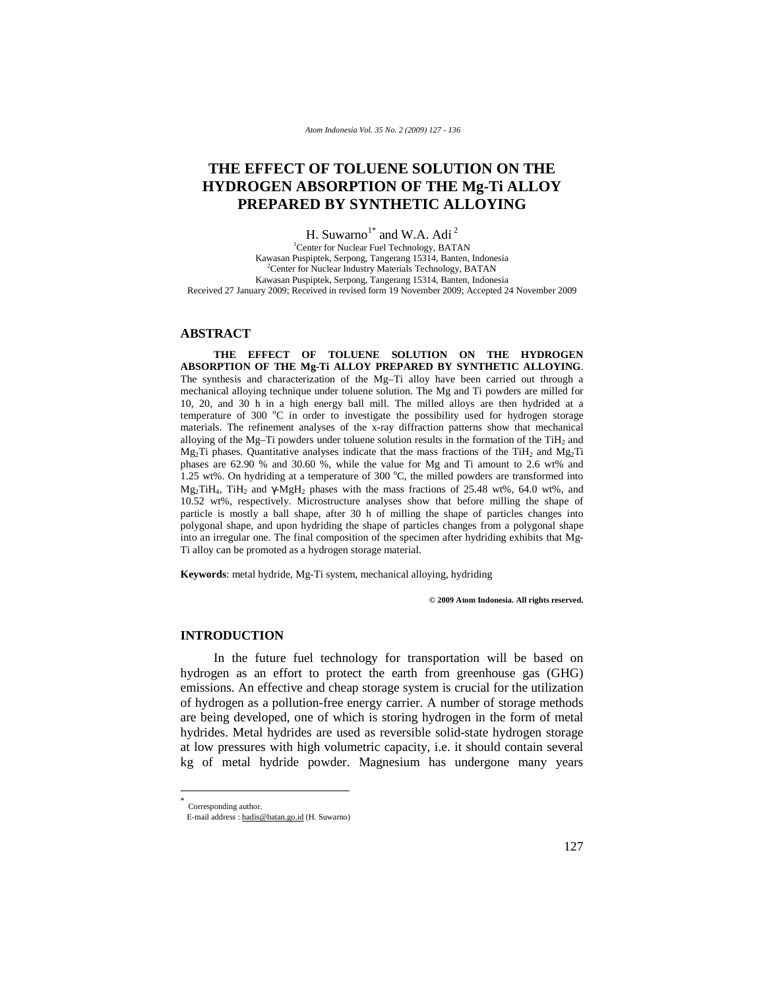# **THE EFFECT OF TOLUENE SOLUTION ON THE HYDROGEN ABSORPTION OF THE Mg-Ti ALLOY PREPARED BY SYNTHETIC ALLOYING**

H. Suwarno<sup>1\*</sup> and W.A. Adi<sup>2</sup>

1 Center for Nuclear Fuel Technology, BATAN Kawasan Puspiptek, Serpong, Tangerang 15314, Banten, Indonesia 2 <sup>2</sup> Center for Nuclear Industry Materials Technology, BATAN Kawasan Puspiptek, Serpong, Tangerang 15314, Banten, Indonesia Received 27 January 2009; Received in revised form 19 November 2009; Accepted 24 November 2009

### **ABSTRACT**

**THE EFFECT OF TOLUENE SOLUTION ON THE HYDROGEN ABSORPTION OF THE Mg-Ti ALLOY PREPARED BY SYNTHETIC ALLOYING**. The synthesis and characterization of the Mg–Ti alloy have been carried out through a mechanical alloying technique under toluene solution. The Mg and Ti powders are milled for 10, 20, and 30 h in a high energy ball mill. The milled alloys are then hydrided at a temperature of 300 °C in order to investigate the possibility used for hydrogen storage materials. The refinement analyses of the x-ray diffraction patterns show that mechanical alloying of the Mg–Ti powders under toluene solution results in the formation of the TiH<sub>2</sub> and Mg<sub>2</sub>Ti phases. Quantitative analyses indicate that the mass fractions of the TiH<sub>2</sub> and Mg<sub>2</sub>Ti phases are 62.90 % and 30.60 %, while the value for Mg and Ti amount to 2.6 wt% and  $1.25$  wt%. On hydriding at a temperature of 300 °C, the milled powders are transformed into  $Mg_2TH_4$ , TiH<sub>2</sub> and  $\gamma MgH_2$  phases with the mass fractions of 25.48 wt%, 64.0 wt%, and 10.52 wt%, respectively. Microstructure analyses show that before milling the shape of particle is mostly a ball shape, after 30 h of milling the shape of particles changes into polygonal shape, and upon hydriding the shape of particles changes from a polygonal shape into an irregular one. The final composition of the specimen after hydriding exhibits that Mg-Ti alloy can be promoted as a hydrogen storage material.

**Keywords**: metal hydride, Mg-Ti system, mechanical alloying, hydriding

**© 2009 Atom Indonesia. All rights reserved.** 

#### **INTRODUCTION**

In the future fuel technology for transportation will be based on hydrogen as an effort to protect the earth from greenhouse gas (GHG) emissions. An effective and cheap storage system is crucial for the utilization of hydrogen as a pollution-free energy carrier. A number of storage methods are being developed, one of which is storing hydrogen in the form of metal hydrides. Metal hydrides are used as reversible solid-state hydrogen storage at low pressures with high volumetric capacity, i.e. it should contain several kg of metal hydride powder. Magnesium has undergone many years

-

Corresponding author.

E-mail address : hadis@batan.go.id (H. Suwarno)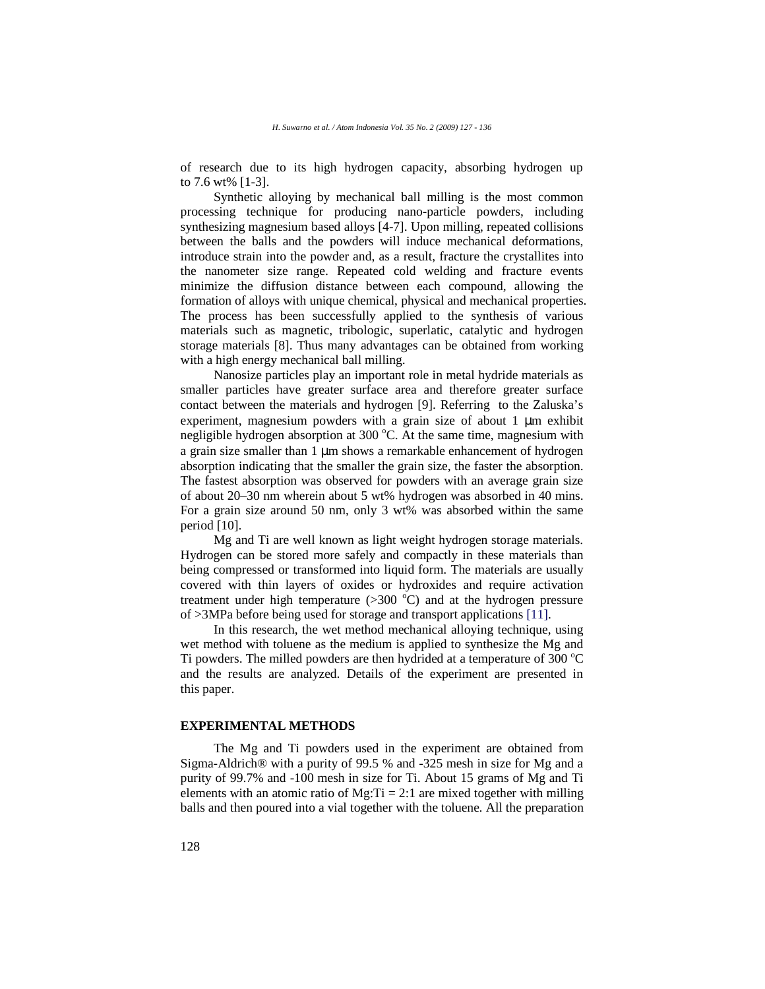of research due to its high hydrogen capacity, absorbing hydrogen up to 7.6 wt% [1-3].

Synthetic alloying by mechanical ball milling is the most common processing technique for producing nano-particle powders, including synthesizing magnesium based alloys [4-7]. Upon milling, repeated collisions between the balls and the powders will induce mechanical deformations, introduce strain into the powder and, as a result, fracture the crystallites into the nanometer size range. Repeated cold welding and fracture events minimize the diffusion distance between each compound, allowing the formation of alloys with unique chemical, physical and mechanical properties. The process has been successfully applied to the synthesis of various materials such as magnetic, tribologic, superlatic, catalytic and hydrogen storage materials [8]. Thus many advantages can be obtained from working with a high energy mechanical ball milling.

Nanosize particles play an important role in metal hydride materials as smaller particles have greater surface area and therefore greater surface contact between the materials and hydrogen [9]. Referring to the Zaluska's experiment, magnesium powders with a grain size of about  $1 \mu m$  exhibit negligible hydrogen absorption at 300 °C. At the same time, magnesium with a grain size smaller than 1 µm shows a remarkable enhancement of hydrogen absorption indicating that the smaller the grain size, the faster the absorption. The fastest absorption was observed for powders with an average grain size of about 20–30 nm wherein about 5 wt% hydrogen was absorbed in 40 mins. For a grain size around 50 nm, only 3 wt% was absorbed within the same period [10].

Mg and Ti are well known as light weight hydrogen storage materials. Hydrogen can be stored more safely and compactly in these materials than being compressed or transformed into liquid form. The materials are usually covered with thin layers of oxides or hydroxides and require activation treatment under high temperature  $(>300\text{ °C})$  and at the hydrogen pressure of >3MPa before being used for storage and transport applications [11].

In this research, the wet method mechanical alloying technique, using wet method with toluene as the medium is applied to synthesize the Mg and Ti powders. The milled powders are then hydrided at a temperature of 300  $^{\circ}$ C and the results are analyzed. Details of the experiment are presented in this paper.

# **EXPERIMENTAL METHODS**

The Mg and Ti powders used in the experiment are obtained from Sigma-Aldrich® with a purity of 99.5 % and -325 mesh in size for Mg and a purity of 99.7% and -100 mesh in size for Ti. About 15 grams of Mg and Ti elements with an atomic ratio of  $Mg$ : Ti = 2:1 are mixed together with milling balls and then poured into a vial together with the toluene. All the preparation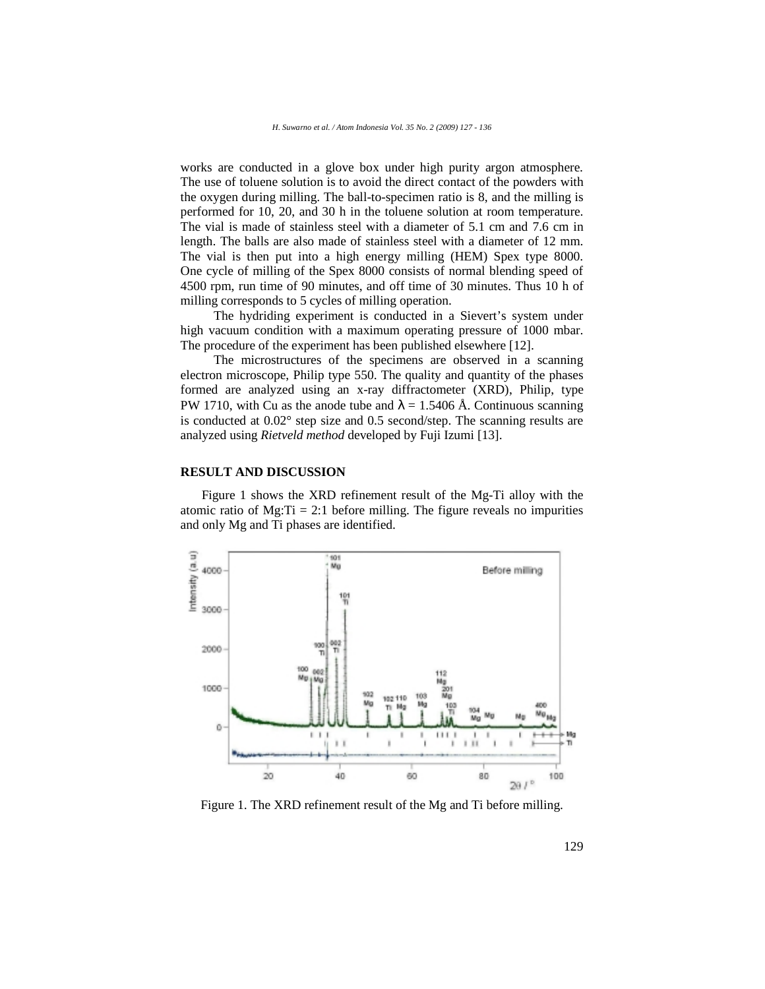works are conducted in a glove box under high purity argon atmosphere. The use of toluene solution is to avoid the direct contact of the powders with the oxygen during milling. The ball-to-specimen ratio is 8, and the milling is performed for 10, 20, and 30 h in the toluene solution at room temperature. The vial is made of stainless steel with a diameter of 5.1 cm and 7.6 cm in length. The balls are also made of stainless steel with a diameter of 12 mm. The vial is then put into a high energy milling (HEM) Spex type 8000. One cycle of milling of the Spex 8000 consists of normal blending speed of 4500 rpm, run time of 90 minutes, and off time of 30 minutes. Thus 10 h of milling corresponds to 5 cycles of milling operation.

The hydriding experiment is conducted in a Sievert's system under high vacuum condition with a maximum operating pressure of 1000 mbar. The procedure of the experiment has been published elsewhere [12].

The microstructures of the specimens are observed in a scanning electron microscope, Philip type 550. The quality and quantity of the phases formed are analyzed using an x-ray diffractometer (XRD), Philip, type PW 1710, with Cu as the anode tube and  $\lambda = 1.5406$  Å. Continuous scanning is conducted at 0.02° step size and 0.5 second/step. The scanning results are analyzed using *Rietveld method* developed by Fuji Izumi [13].

## **RESULT AND DISCUSSION**

Figure 1 shows the XRD refinement result of the Mg-Ti alloy with the atomic ratio of  $Mg:Ti = 2:1$  before milling. The figure reveals no impurities and only Mg and Ti phases are identified.



Figure 1. The XRD refinement result of the Mg and Ti before milling.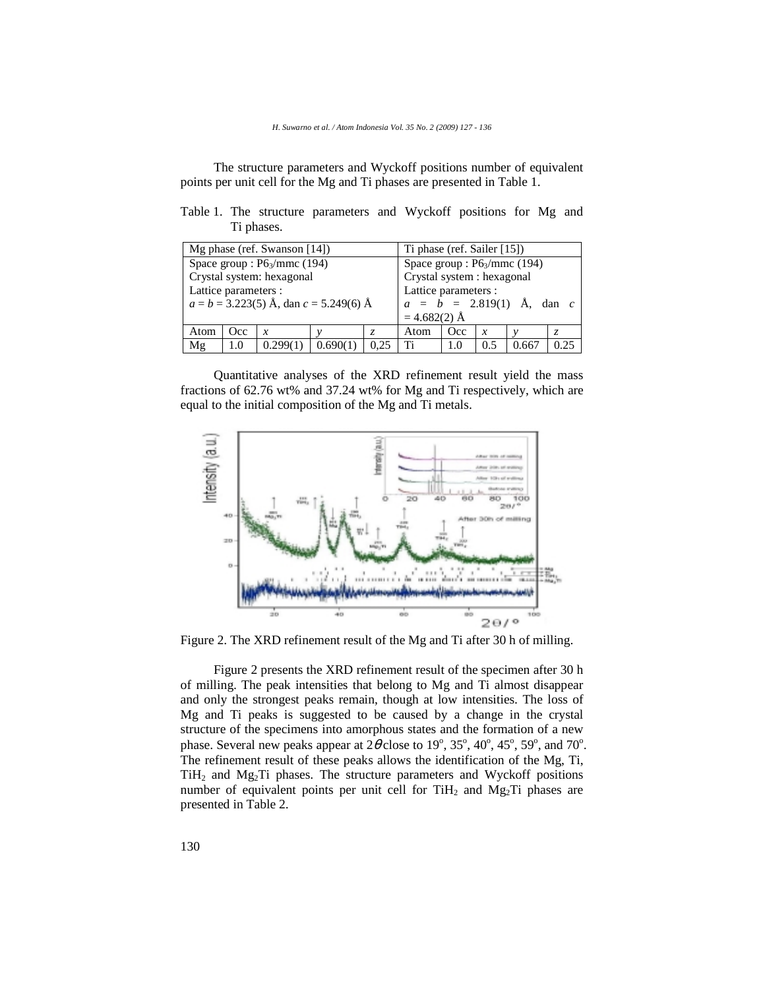The structure parameters and Wyckoff positions number of equivalent points per unit cell for the Mg and Ti phases are presented in Table 1.

|  |            | Table 1. The structure parameters and Wyckoff positions for Mg and |  |  |  |
|--|------------|--------------------------------------------------------------------|--|--|--|
|  | Ti phases. |                                                                    |  |  |  |

|                                            |                            | Mg phase (ref. Swanson $[14]$ ) |  | Ti phase (ref. Sailer [15])    |                                           |     |     |       |      |
|--------------------------------------------|----------------------------|---------------------------------|--|--------------------------------|-------------------------------------------|-----|-----|-------|------|
|                                            |                            | Space group : $P6_3/mmc$ (194)  |  | Space group : $P6_3/mmc$ (194) |                                           |     |     |       |      |
| Crystal system: hexagonal                  | Crystal system : hexagonal |                                 |  |                                |                                           |     |     |       |      |
| Lattice parameters :                       | Lattice parameters :       |                                 |  |                                |                                           |     |     |       |      |
| $a = b = 3.223(5)$ Å, dan $c = 5.249(6)$ Å |                            |                                 |  |                                | $a = \bar{b} = 2.819(1)$ Å, dan c         |     |     |       |      |
|                                            | $=4.682(2)$ Å              |                                 |  |                                |                                           |     |     |       |      |
| Atom                                       | Occ                        | x                               |  |                                | Occ.<br>Atom<br>$\boldsymbol{\chi}$<br>Z. |     |     |       |      |
| Mg                                         | 1.0                        |                                 |  | 0.25                           | Ti                                        | 1.0 | 0.5 | 0.660 | 0.25 |

Quantitative analyses of the XRD refinement result yield the mass fractions of 62.76 wt% and 37.24 wt% for Mg and Ti respectively, which are equal to the initial composition of the Mg and Ti metals.



Figure 2. The XRD refinement result of the Mg and Ti after 30 h of milling.

Figure 2 presents the XRD refinement result of the specimen after 30 h of milling. The peak intensities that belong to Mg and Ti almost disappear and only the strongest peaks remain, though at low intensities. The loss of Mg and Ti peaks is suggested to be caused by a change in the crystal structure of the specimens into amorphous states and the formation of a new phase. Several new peaks appear at  $2\theta$  close to  $19^{\circ}$ ,  $35^{\circ}$ ,  $40^{\circ}$ ,  $45^{\circ}$ ,  $59^{\circ}$ , and  $70^{\circ}$ . The refinement result of these peaks allows the identification of the Mg, Ti,  $TiH<sub>2</sub>$  and  $Mg<sub>2</sub>Ti$  phases. The structure parameters and Wyckoff positions number of equivalent points per unit cell for  $TiH<sub>2</sub>$  and  $Mg<sub>2</sub>Ti$  phases are presented in Table 2.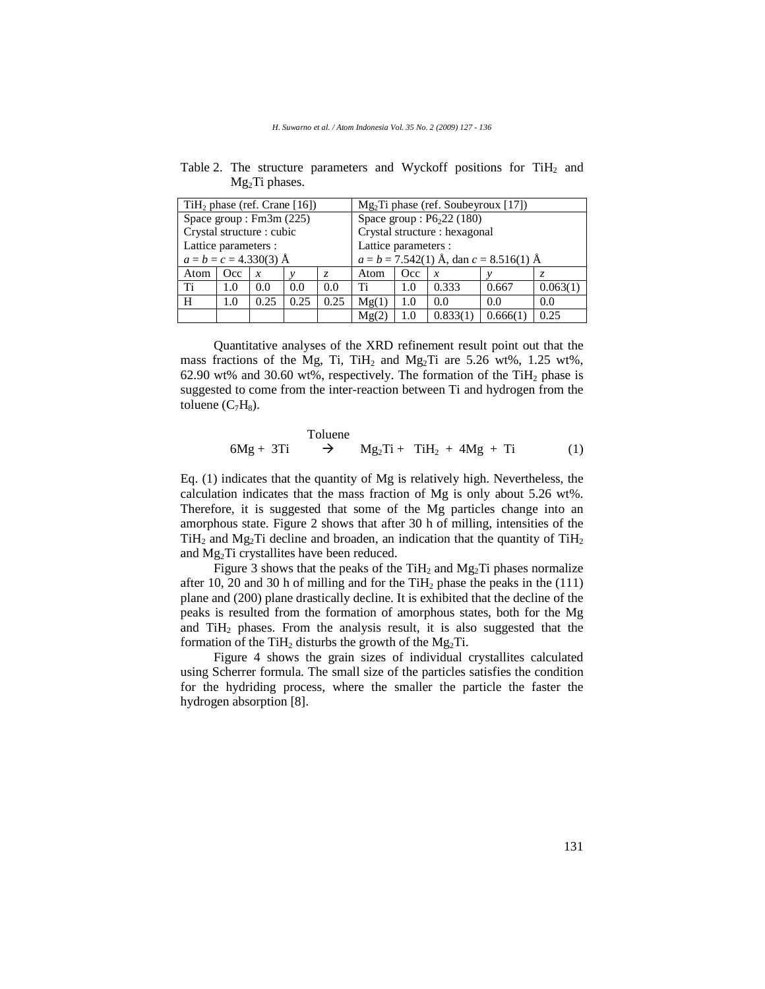| $TiH2 phase (ref. Crane [16])$ |            |      |                                            | $Mg2Ti phase (ref. Soubeyroux [17])$ |                                        |     |          |          |          |
|--------------------------------|------------|------|--------------------------------------------|--------------------------------------|----------------------------------------|-----|----------|----------|----------|
| Space group: $Fm3m$ (225)      |            |      |                                            | Space group: $P6222(180)$            |                                        |     |          |          |          |
| Crystal structure : cubic      |            |      |                                            | Crystal structure : hexagonal        |                                        |     |          |          |          |
| Lattice parameters :           |            |      |                                            | Lattice parameters :                 |                                        |     |          |          |          |
| $a = b = c = 4.330(3)$ Å       |            |      | $a = b = 7.542(1)$ Å, dan $c = 8.516(1)$ Å |                                      |                                        |     |          |          |          |
| Atom                           | <b>Occ</b> | x    |                                            | Z.                                   | Atom<br><b>Occ</b><br>$\boldsymbol{x}$ |     |          |          |          |
| Ti                             | 1.0        | 0.0  | 0.0                                        | 0.0                                  | Ti                                     | 1.0 | 0.333    | 0.667    | 0.063(1) |
| H                              | 1.0        | 0.25 | 0.25                                       | 0.25                                 | Mg(1)<br>0.0<br>0.0<br>1.0             |     |          | 0.0      |          |
|                                |            |      |                                            |                                      | Mg(2)                                  | 1.0 | 0.833(1) | 0.666(1) | 0.25     |

Table 2. The structure parameters and Wyckoff positions for TiH<sub>2</sub> and  $Mg<sub>2</sub>Ti$  phases.

Quantitative analyses of the XRD refinement result point out that the mass fractions of the Mg, Ti, TiH<sub>2</sub> and Mg<sub>2</sub>Ti are 5.26 wt%, 1.25 wt%, 62.90 wt% and 30.60 wt%, respectively. The formation of the TiH<sub>2</sub> phase is suggested to come from the inter-reaction between Ti and hydrogen from the toluene  $(C_7H_8)$ .

70 luene

\n
$$
6Mg + 3Ti \rightarrow Mg_2Ti + TiH_2 + 4Mg + Ti \tag{1}
$$

Eq. (1) indicates that the quantity of Mg is relatively high. Nevertheless, the calculation indicates that the mass fraction of Mg is only about 5.26 wt%. Therefore, it is suggested that some of the Mg particles change into an amorphous state. Figure 2 shows that after 30 h of milling, intensities of the  $TiH<sub>2</sub>$  and Mg<sub>2</sub>Ti decline and broaden, an indication that the quantity of TiH<sub>2</sub> and Mg2Ti crystallites have been reduced.

Figure 3 shows that the peaks of the TiH<sub>2</sub> and Mg<sub>2</sub>Ti phases normalize after 10, 20 and 30 h of milling and for the TiH<sub>2</sub> phase the peaks in the  $(111)$ plane and (200) plane drastically decline. It is exhibited that the decline of the peaks is resulted from the formation of amorphous states, both for the Mg and  $TiH<sub>2</sub>$  phases. From the analysis result, it is also suggested that the formation of the TiH<sub>2</sub> disturbs the growth of the Mg<sub>2</sub>Ti.

Figure 4 shows the grain sizes of individual crystallites calculated using Scherrer formula. The small size of the particles satisfies the condition for the hydriding process, where the smaller the particle the faster the hydrogen absorption [8].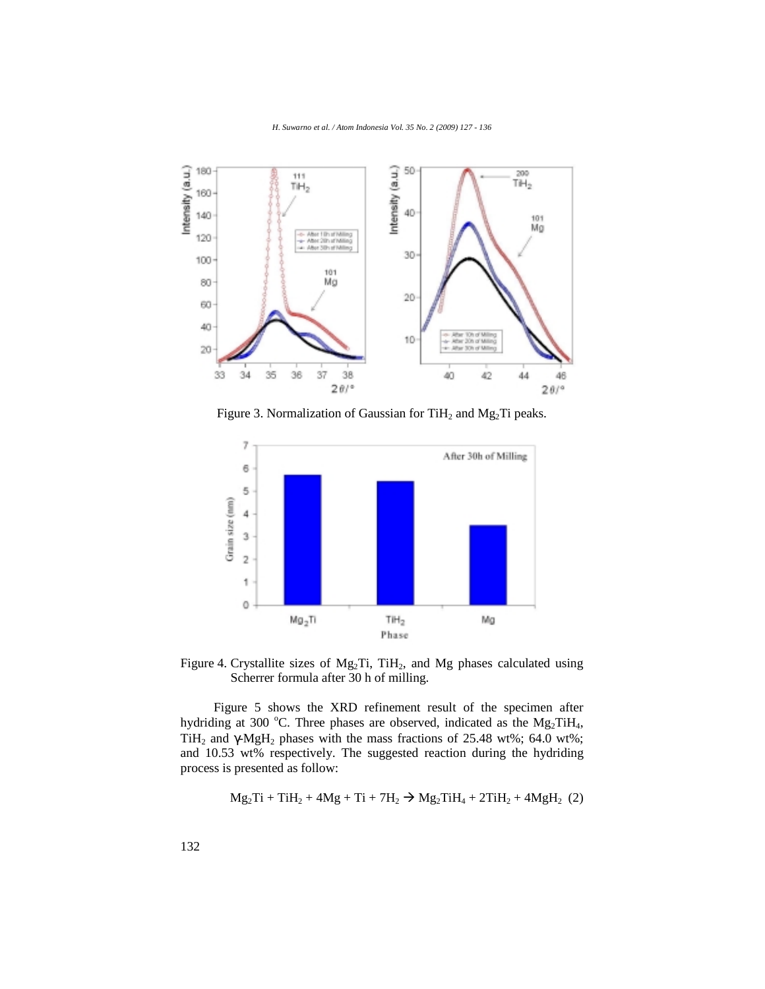

Figure 3. Normalization of Gaussian for  $TiH<sub>2</sub>$  and Mg<sub>2</sub>Ti peaks.



Figure 4. Crystallite sizes of  $Mg_2Ti$ , TiH<sub>2</sub>, and Mg phases calculated using Scherrer formula after 30 h of milling.

Figure 5 shows the XRD refinement result of the specimen after hydriding at 300 °C. Three phases are observed, indicated as the  $Mg_2TiH_4$ , TiH<sub>2</sub> and  $\gamma$ -MgH<sub>2</sub> phases with the mass fractions of 25.48 wt%; 64.0 wt%; and 10.53 wt% respectively. The suggested reaction during the hydriding process is presented as follow:

$$
Mg_2Ti + TiH_2 + 4Mg + Ti + 7H_2 \rightarrow Mg_2TiH_4 + 2TiH_2 + 4MgH_2
$$
 (2)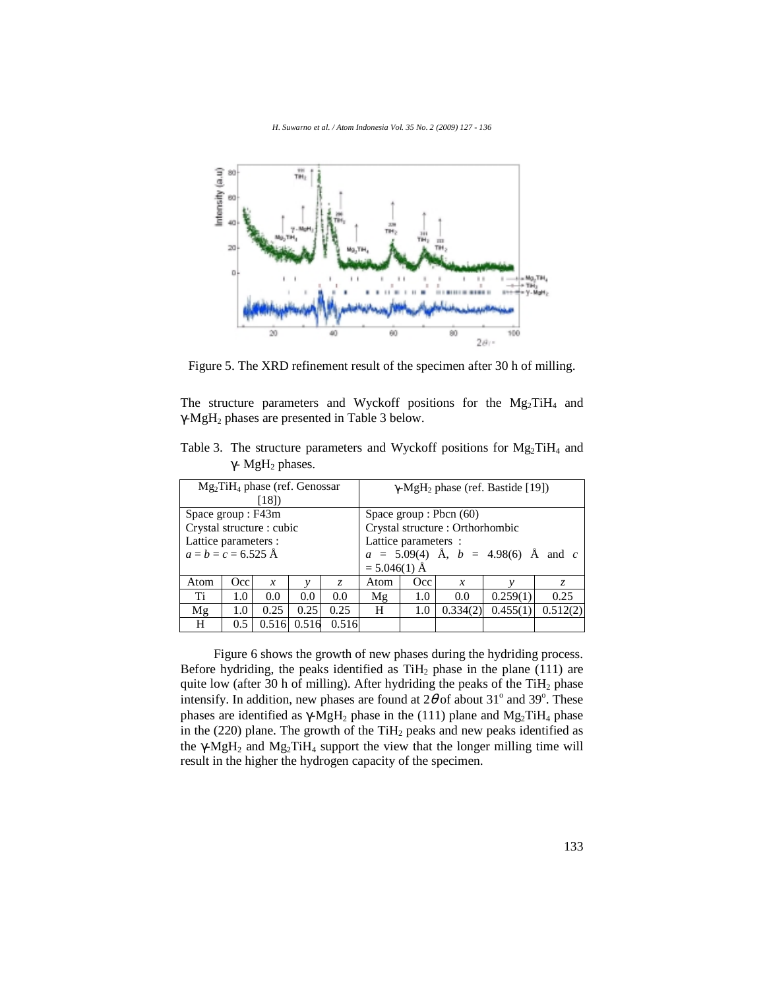

Figure 5. The XRD refinement result of the specimen after 30 h of milling.

The structure parameters and Wyckoff positions for the Mg<sub>2</sub>TiH<sub>4</sub> and γ-MgH2 phases are presented in Table 3 below.

| Table 3. The structure parameters and Wyckoff positions for $Mg_2TiH_4$ and |  |  |  |  |
|-----------------------------------------------------------------------------|--|--|--|--|
| $\gamma$ - MgH <sub>2</sub> phases.                                         |  |  |  |  |

|                                       | $Mg_2TiH_4$ phase (ref. Genossar<br>[18] |       |       | $\gamma$ -MgH <sub>2</sub> phase (ref. Bastide [19]) |                                              |     |                  |  |    |  |
|---------------------------------------|------------------------------------------|-------|-------|------------------------------------------------------|----------------------------------------------|-----|------------------|--|----|--|
| Space group : F43m                    |                                          |       |       |                                                      | Space group : Pbcn $(60)$                    |     |                  |  |    |  |
| Crystal structure : cubic             |                                          |       |       |                                                      | Crystal structure : Orthorhombic             |     |                  |  |    |  |
| Lattice parameters :                  |                                          |       |       |                                                      | Lattice parameters :                         |     |                  |  |    |  |
| $a = b = c = 6.525$ Å                 |                                          |       |       |                                                      | $a = 5.09(4)$ Å, $b = 4.98(6)$ Å and c       |     |                  |  |    |  |
|                                       |                                          |       |       |                                                      | $= 5.046(1)$ Å                               |     |                  |  |    |  |
| Occ<br>Atom<br>$\boldsymbol{x}$<br>Z. |                                          |       |       |                                                      | Atom                                         | Occ | $\boldsymbol{x}$ |  | Z. |  |
| Ti                                    | 1.0                                      | 0.0   | 0.0   | 0.0                                                  | 0.259(1)<br>0.25<br>0.0<br>Mg<br>1.0         |     |                  |  |    |  |
| Mg                                    | 1.0                                      | 0.25  | 0.25  | 0.25                                                 | 0.455(1)<br>0.512(2)<br>0.334(2)<br>H<br>1.0 |     |                  |  |    |  |
| H                                     | $0.5^{\circ}$                            | 0.516 | 0.516 | 0.516                                                |                                              |     |                  |  |    |  |

Figure 6 shows the growth of new phases during the hydriding process. Before hydriding, the peaks identified as  $TiH<sub>2</sub>$  phase in the plane (111) are quite low (after 30 h of milling). After hydriding the peaks of the  $TiH<sub>2</sub>$  phase intensify. In addition, new phases are found at  $2\theta$  of about  $31^{\circ}$  and  $39^{\circ}$ . These phases are identified as γ-MgH<sub>2</sub> phase in the (111) plane and Mg<sub>2</sub>TiH<sub>4</sub> phase in the (220) plane. The growth of the TiH<sub>2</sub> peaks and new peaks identified as the  $\gamma$ -MgH<sub>2</sub> and Mg<sub>2</sub>TiH<sub>4</sub> support the view that the longer milling time will result in the higher the hydrogen capacity of the specimen.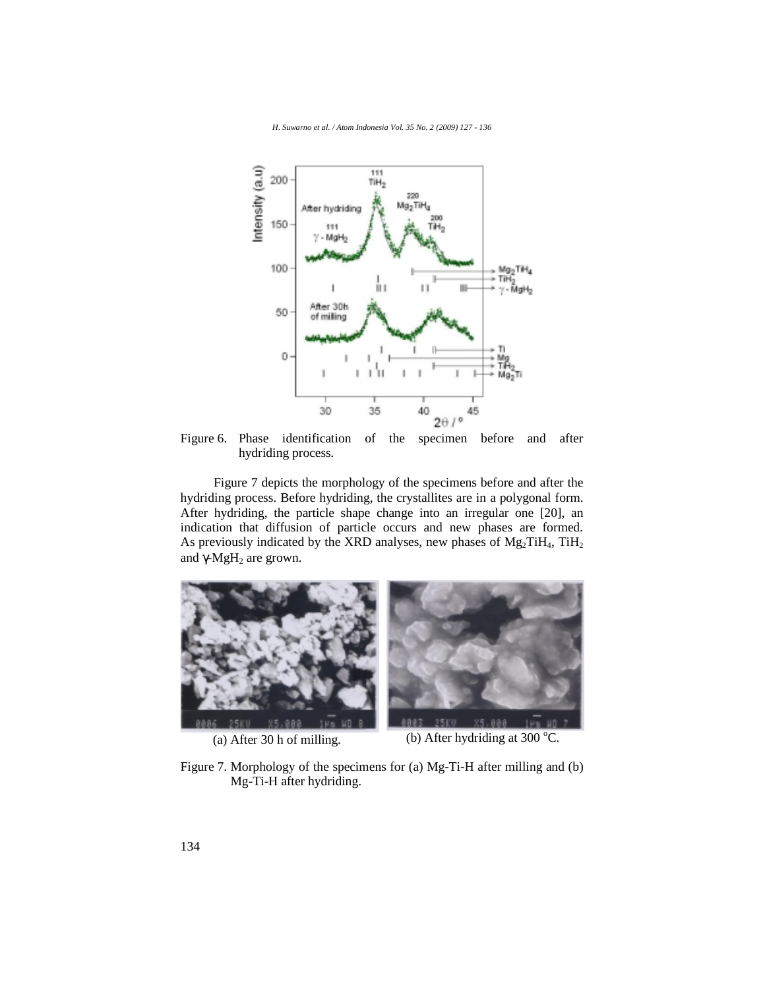

Figure 6. Phase identification of the specimen before and after hydriding process.

Figure 7 depicts the morphology of the specimens before and after the hydriding process. Before hydriding, the crystallites are in a polygonal form. After hydriding, the particle shape change into an irregular one [20], an indication that diffusion of particle occurs and new phases are formed. As previously indicated by the XRD analyses, new phases of  $Mg_2TiH_4$ ,  $TiH_2$ and  $\gamma$ -MgH<sub>2</sub> are grown.



(a) After 30 h of milling. (b) After hydriding at 300  $^{\circ}$ C.

Figure 7. Morphology of the specimens for (a) Mg-Ti-H after milling and (b) Mg-Ti-H after hydriding.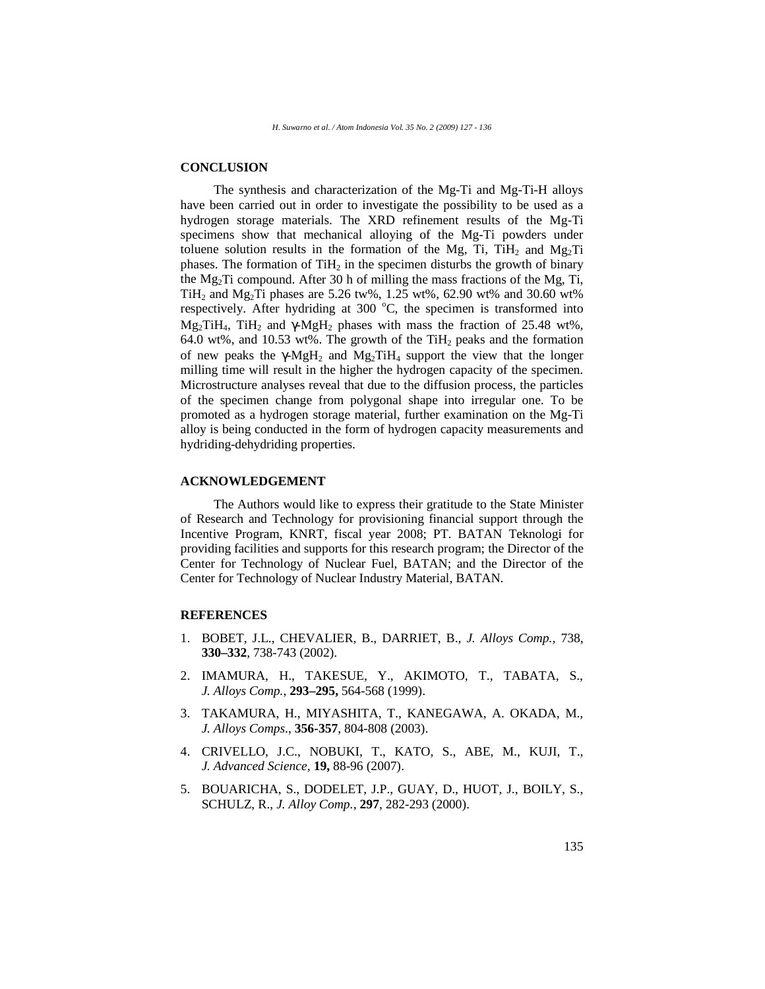### **CONCLUSION**

The synthesis and characterization of the Mg-Ti and Mg-Ti-H alloys have been carried out in order to investigate the possibility to be used as a hydrogen storage materials. The XRD refinement results of the Mg-Ti specimens show that mechanical alloying of the Mg-Ti powders under toluene solution results in the formation of the Mg, Ti, TiH<sub>2</sub> and Mg<sub>2</sub>Ti phases. The formation of  $TiH<sub>2</sub>$  in the specimen disturbs the growth of binary the  $Mg<sub>2</sub>Ti$  compound. After 30 h of milling the mass fractions of the Mg, Ti, TiH<sub>2</sub> and Mg<sub>2</sub>Ti phases are 5.26 tw%, 1.25 wt%, 62.90 wt% and 30.60 wt% respectively. After hydriding at 300 °C, the specimen is transformed into  $Mg_2TiH_4$ , TiH<sub>2</sub> and  $\gamma$ -MgH<sub>2</sub> phases with mass the fraction of 25.48 wt%, 64.0 wt%, and 10.53 wt%. The growth of the TiH<sub>2</sub> peaks and the formation of new peaks the γ-MgH<sub>2</sub> and Mg<sub>2</sub>TiH<sub>4</sub> support the view that the longer milling time will result in the higher the hydrogen capacity of the specimen. Microstructure analyses reveal that due to the diffusion process, the particles of the specimen change from polygonal shape into irregular one. To be promoted as a hydrogen storage material, further examination on the Mg-Ti alloy is being conducted in the form of hydrogen capacity measurements and hydriding-dehydriding properties.

#### **ACKNOWLEDGEMENT**

The Authors would like to express their gratitude to the State Minister of Research and Technology for provisioning financial support through the Incentive Program, KNRT, fiscal year 2008; PT. BATAN Teknologi for providing facilities and supports for this research program; the Director of the Center for Technology of Nuclear Fuel, BATAN; and the Director of the Center for Technology of Nuclear Industry Material, BATAN.

### **REFERENCES**

- 1. BOBET, J.L., CHEVALIER, B., DARRIET, B., *J. Alloys Comp.,* 738, **330–332**, 738-743 (2002).
- 2. IMAMURA, H., TAKESUE, Y., AKIMOTO, T., TABATA, S., *J. Alloys Comp.*, **293–295,** 564-568 (1999).
- 3. TAKAMURA, H., MIYASHITA, T., KANEGAWA, A. OKADA, M., *J. Alloys Comps*., **356-357**, 804-808 (2003).
- 4. CRIVELLO, J.C., NOBUKI, T., KATO, S., ABE, M., KUJI, T., *J. Advanced Science*, **19,** 88-96 (2007).
- 5. BOUARICHA, S., DODELET, J.P., GUAY, D., HUOT, J., BOILY, S., SCHULZ, R., *J. Alloy Comp.*, **297**, 282-293 (2000).